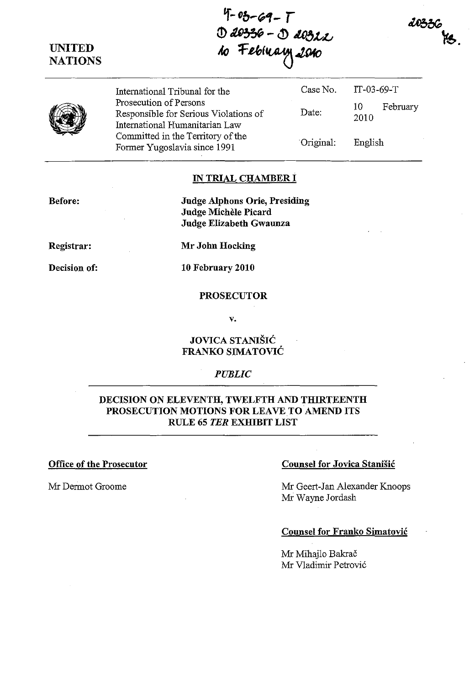**UNITED NATIONS** 

 $4 - 03 - 69 - 7$  $1 - 05 - 69 - 1$ <br>① 10336 - ① 10322 w Terray 2010

20336

恪.

International Tribunal for the Prosecution of Persons Responsible for Serious Violations of International Humanitarian Law Committed in the Territory of the Former Yugoslavia since 1991 Case No. Date: Original: IT-03-69-T 10 February 2010 English

#### **IN TRIAL CHAMBER I**

**Before:** 

**Judge Alphons Orie, Presiding Judge MicheIe Picard Judge Elizabeth Gwaunza** 

**Registrar:** 

**Decision of:** 

**Mr John Hocking** 

**10 February 2010** 

### **PROSECUTOR**

v.

**JOVICA STANIŠIĆ FRANKO SIMATOVIC** 

#### *PUBLIC*

## **DECISION ON ELEVENTH, TWELFTH AND THIRTEENTH PROSECUTION MOTIONS FOR LEAVE TO AMEND ITS RULE 65** *TER* **EXHIBIT LIST**

#### **Office of the Prosecutor Counsel for Jovica Stanisic Counsel for Jovica Stanisic**

Mr Dermot Groome Mr Geert-Jan Alexander Knoops Mr Wayne Jordash

#### **Counsel for Franko Simatovic**

Mr Mihajlo Bakrač Mr Vladimir Petrovi6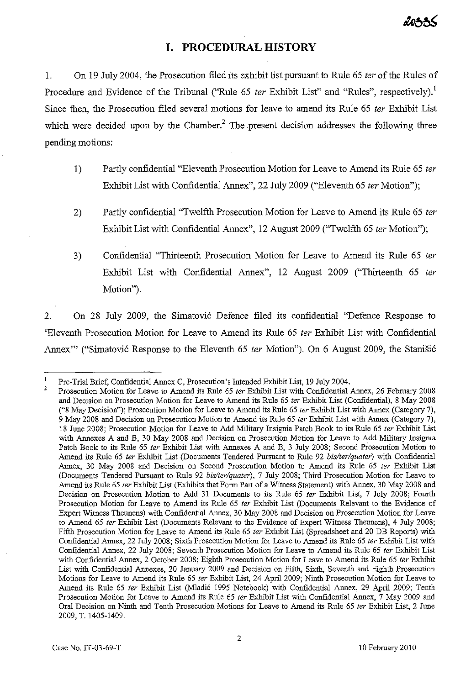# **I. PROCEDURAL mSTORY**

1. On 19 July 2004, the Prosecution filed its exhibit list pursuant to Rule 65 *ter* of the Rules of Procedure and Evidence of the Tribunal ("Rule 65 *ter* Exhibit List" and "Rules", respectively).<sup>1</sup> Since then, the Prosecution filed several motions for leave to amend its Rule 65 *ter* Exhibit List which were decided upon by the Chamber.<sup>2</sup> The present decision addresses the following three pending motions:

- 1) Partly confidential "Eleventh Prosecution Motion for Leave to Amend its Rule 65 *ter*  Exhibit List with Confidential Annex", 22 July 2009 ("Eleventh 65 *ter* Motion");
- 2) Partly confidential "Twelfth Prosecution Motion for Leave to Amend its Rule 65 *ter*  Exhibit List with Confidential Annex", 12 August 2009 ("Twelfth 65 *ter* Motion");
- 3) Confidential "Thirteenth Prosecution Motion for Leave to Amend its Rule 65 *ter*  Exhibit List with Confidential Annex", 12 August 2009 ("Thirteenth 65 *ter*  Motion").

2. On 28 July 2009, the Simatovi6 Defence filed its confidential "Defence Response to 'Eleventh Prosecution Motion for Leave to Amend its Rule 65 *ter* Exhibit List with Confidential Annex<sup>77</sup> ("Simatović Response to the Eleventh 65 *ter* Motion"). On 6 August 2009, the Stanišić

<sup>2</sup>  Pre-Trial Brief, Confidential Annex C, Prosecution's Intended Exhibit List, 19 July 2004.

Prosecution Motion for Leave to Amend its Rule 65 ter Exhibit List with Confidential Annex, 26 February 2008 and Decision on Prosecution Motion for Leave to Amend its Rule 65 ter Exhibit List (Confidential), 8 May 2008 ("8 May Decision"); Prosecution Motion for Leave to Amend its Rule 65 ter Exhibit List with Annex (Category 7), 9 May 2008 and Decision on Prosecution Motion to Amend its Rule 65 ter Exhibit List with Annex (Category 7), 18 June 2008; Prosecution Motion for Leave to Add Military Insignia Patch Book to its Rule 65 ter Exhibit List with Annexes A and B, 30 May 2008 and Decision on Prosecution Motion for Leave to Add Military Insignia Patch Book to its Rule 65 ter Exhibit List with Annexes A and B, 3 July 2008; Second Prosecution Motion to Amend its Rule 65 ter Exhibit List (Documents Tendered Pursuant to Rule 92 bis/ter/quater) with Confidential Annex, 30 May 2008 and Decision on Second Prosecution Motion to Amend its Rule 65 ter Exhibit List (Documents Tendered Pursuant to Rule 92 bis/ter/quater), 7 July 2008; Third Prosecution Motion for Leave to Amend its Rule 65 ler Exhibit List (Exhibits that Form Part of a Witness Statement) with Annex, 30 May 2008 and Decision on Prosecution Motion to Add 31 Documents to its Rule 65 ter Exhibit List, 7 July 2008; Fourth Prosecution Motion for Leave to Amend its Rule 65 ter Exhibit List (Documents Relevant to the Evidence of Expert Witness Theunens) with Confidential Annex, 30 May 2008 and Decision on Prosecution Motion for Leave to Amend 65 ter Exhibit List (Documents Relevant to the Evidence of Expert Witness Theunens), 4 July 2008; Fifth Prosecution Motion for Leave to Amend its Rule 65 ter Exhibit List (Spreadsheet and 20 DB Reports) with Confidential Annex, 22 July 2008; Sixth Prosecution Motion for Leave to Amend its Rule 65 ler Exhibit List with Confidential Annex, 22 July 2008; Seventh Prosecution Motion for Leave to Amend its Rule 65 ter Exhibit List with Confidential Annex, 2 October 2008; Eighth Prosecution Motion for Leave to Amend its Rule 65 ter Exhibit List with Confidential Annexes, 20 January 2009 and Decision on Fifth, Sixth, Seventh and Eighth Prosecution Motions for Leave to Amend its Rule 65 ter Exhibit List, 24 April 2009; Ninth Prosecution Motion for Leave to Amend its Rule 65 ter Exhibit List (Mladić 1995 Notebook) with Confidential Annex, 29 April 2009; Tenth Prosecution Motion for Leave to Amend its Rule 65 ter Exhibit List with Confidential Annex, 7 May 2009 and Oral Decision on Ninth and Tenth Prosecution Motions for Leave to Amend its Rule 65 ter Exhibit List, 2 June 2009, T. 1405-1409.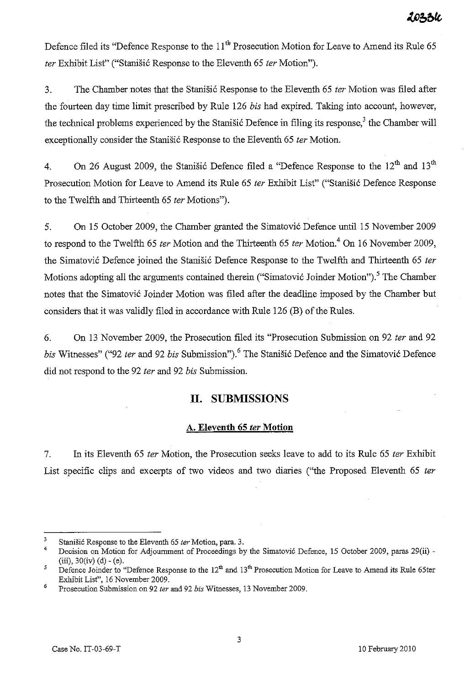Defence filed its "Defence Response to the 11<sup>th</sup> Prosecution Motion for Leave to Amend its Rule 65 *ter* Exhibit List" ("Stanisi6 Response to the Eleventh 65 *ter* Motion").

3. The Chamber notes that the Stanisi6 Response to the Eleventh 65 *ter* Motion was filed after the fourteen day time limit prescribed by Rule 126 *bis* had expired. Taking into account, however, the technical problems experienced by the Stanisic Defence in filing its response,<sup>3</sup> the Chamber will exceptionally consider the Stanišić Response to the Eleventh 65 *ter* Motion.

4. On 26 August 2009, the Stanisic Defence filed a "Defence Response to the  $12<sup>th</sup>$  and  $13<sup>th</sup>$ Prosecution Motion for Leave to Amend its Rule 65 *ter* Exhibit List" ("Stanišić Defence Response to the Twelfth and Thirteenth 65 *ter* Motions").

5. On 15 October 2009, the Chamber granted the Simatovi6 Defence until 15 November 2009 to respond to the Twelfth 65 *ter* Motion and the Thirteenth 65 *ter* Motion.<sup>4</sup> On 16 November 2009, the Simatović Defence joined the Stanišić Defence Response to the Twelfth and Thirteenth 65 *ter* Motions adopting all the arguments contained therein ("Simatović Joinder Motion").<sup>5</sup> The Chamber notes that the Simatović Joinder Motion was filed after the deadline imposed by the Chamber but considers that it was validly filed in accordance with Rule 126 (B) of the Rules.

6. On 13 November 2009, the Prosecution filed its "Prosecution Submission on 92 *ter* and 92 *bis* Witnesses" ("92 *ter* and 92 *bis* Submission").<sup>6</sup> The Stanistic Defence and the Simatovic Defence did not respond to the 92 *fer* and 92 *his* Submission.

# **11. SUBMISSIONS**

### A. **Eleventh 65** fer **Motion**

7. In its Eleventh 65 *fer* Motion, the Prosecution seeks leave to add to its Rule 65 *ter* Exhibit List specific clips and excerpts of two videos and two diaries ("the Proposed Eleventh 65 *ter* 

<sup>3</sup>  Stanišić Response to the Eleventh 65 ter Motion, para. 3.

<sup>4</sup>  Decision on Motion for Adjournment of Proceedings by the Simatović Defence, 15 October 2009, paras 29(ii) -(iii),  $30(iv)$  (d) - (e).

<sup>5</sup>  Defence Joinder to "Defence Response to the  $12<sup>th</sup>$  and  $13<sup>th</sup>$  Prosecution Motion for Leave to Amend its Rule 65ter Exhibit List", 16 November 2009.

<sup>6</sup>  Prosecution Snbmission on 92 *ler* and 92 *bis* Witnesses, 13 November 2009.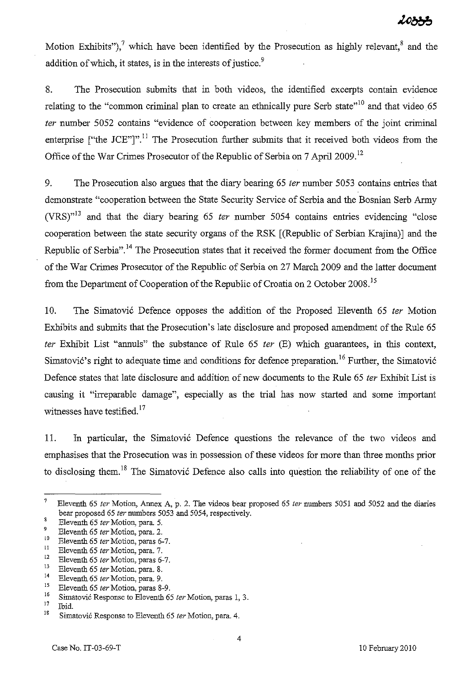Motion Exhibits"),<sup>7</sup> which have been identified by the Prosecution as highly relevant,<sup>8</sup> and the addition of which, it states, is in the interests of justice.<sup>9</sup>

8. The Prosecution submits that in both videos, the identified excerpts contain evidence relating to the "common criminal plan to create an ethnically pure Serb state"<sup>10</sup> and that video 65 fer number 5052 contains "evidence of cooperation between key members of the joint criminal enterprise ["the JCE"]".<sup>11</sup> The Prosecution further submits that it received both videos from the Office of the War Crimes Prosecutor of the Republic of Serbia on 7 April 2009.<sup>12</sup>

9. The Prosecution also argues that the diary bearing 65 ter number 5053 contains entries that demonstrate "cooperation between the State Security Service of Serbia and the Bosnian Serb Army (VRS) $n<sup>13</sup>$  and that the diary bearing 65 ter number 5054 contains entries evidencing "close" cooperation between the state security organs of the RSK [(Republic of Serbian Krajina)] and the Republic of Serbia".<sup>14</sup> The Prosecution states that it received the former document from the Office of the War Crimes Prosecutor of the Republic of Serbia on 27 March 2009 and the latter document from the Department of Cooperation of the Republic of Croatia on 2 October 2008.<sup>15</sup>

10. The Simatovic Defence opposes the addition of the Proposed Eleventh 65 ter Motion Exhibits and submits that the Prosecution's late disclosure and proposed amendment of the Rule 65 ter Exhibit List "annuls" the substance of Rule  $65$  ter  $(E)$  which guarantees, in this context, Simatovic's right to adequate time and conditions for defence preparation.<sup>16</sup> Further, the Simatovic Defence states that late disclosure and addition of new documents to the Rule 65 fer Exhibit List is causing it "irreparable damage", especially as the trial has now started and some important witnesses have testified. $17$ 

11. In particular, the Simatovic Defence questions the relevance of the two videos and emphasises that the Prosecution was in possession of these videos for more than three months prior to disclosing them.<sup>18</sup> The Simatovic Defence also calls into question the reliability of one of the

<sup>&</sup>lt;sup>7</sup> Eleventh 65 ter Motion, Annex A, p. 2. The videos bear proposed 65 ter numbers 5051 and 5052 and the diaries bear proposed 65 *ler* numbers 5053 and 5054, respectively.

<sup>&</sup>lt;sup>8</sup> Eleventh 65 *ter* Motion, para. 5.<br><sup>9</sup> Eleventh 65 ter Motion, para. 2.

<sup>&</sup>lt;sup>9</sup> Eleventh 65 *ter* Motion, para. 2.<br><sup>10</sup> Eleventh 65 term Motion, paras 6.

<sup>&</sup>lt;sup>10</sup> Eleventh 65 *ter* Motion, paras 6-7.

<sup>&</sup>lt;sup>11</sup> Eleventh 65 *ter* Motion, para. 7.<br><sup>12</sup> Eleventh 65 ter Motion, paras 6.

<sup>&</sup>lt;sup>12</sup> Eleventh 65 *ter* Motion, paras 6-7.<br><sup>13</sup> Eleventh 65 deu Mation, para  $\frac{8}{3}$ 

<sup>&</sup>lt;sup>13</sup> Eleventh 65 *ter* Motion, para. 8.<br><sup>14</sup> Eleventh 65 ter Motion, para. 0

<sup>&</sup>lt;sup>14</sup> Eleventh 65 *ter* Motion, para. 9.<br><sup>15</sup> Eleventh 65 ter Motion, paras<sup>9</sup>.

<sup>&</sup>lt;sup>15</sup> Eleventh 65 *ter* Motion, paras 8-9.<br><sup>16</sup> Simetari<sup>6</sup> Begas nas te Flavorate 6

<sup>&</sup>lt;sup>16</sup> Simatović Response to Eleventh 65 *ter* Motion, paras 1, 3.

<sup>&</sup>lt;sup>17</sup> Ibid.<br><sup>18</sup> Simatović Response to Eleventh 65 *ter* Motion, para. 4.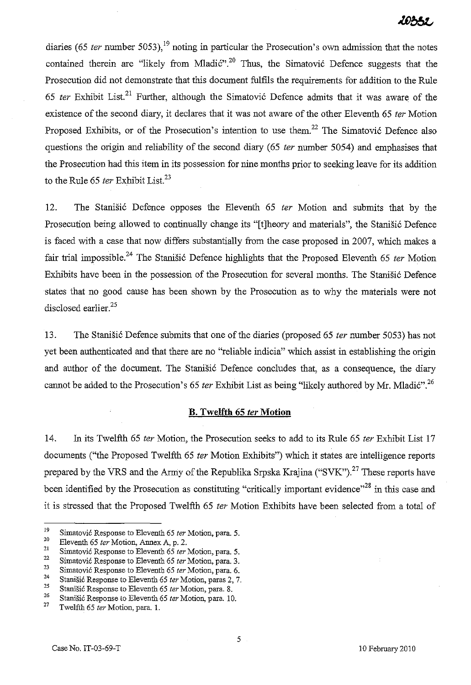10331

diaries (65 *ter* number 5053),<sup>19</sup> noting in particular the Prosecution's own admission that the notes contained therein are "likely from Mladić".<sup>20</sup> Thus, the Simatović Defence suggests that the Prosecution did not demonstrate that this document fulfils the requirements for addition to the Rule *65 ter* Exhibit List. 21 Further, although the Simatovi6 Defence admits that it was aware of the existence of the second diary, it declares that it was not aware of the other Eleventh 65 *ter* Motion Proposed Exhibits, or of the Prosecution's intention to use them.<sup>22</sup> The Simatović Defence also questions the origin and reliability of the second diary (65 *ter* number 5054) and emphasises that the Prosecution had this item in its possession for nine months prior to seeking leave for its addition to the Rule 65 *ter* Exhibit List.<sup>23</sup>

12. The Stanisi6 Defence opposes the Eleventh 65 *ter* Motion and submits that by the Prosecution being allowed to continually change its "[t]heory and materials", the Stanišić Defence is faced with a case that now differs substantially from the case proposed in 2007, which makes a fair trial impossible.<sup>24</sup> The Stanišić Defence highlights that the Proposed Eleventh 65 *ter* Motion Exhibits have been in the possession of the Prosecution for several months. The Stanišić Defence states that no good cause has been shown by the Prosecution as to why the materials were not disclosed earlier.<sup>25</sup>

13. The Stanisi6 Defence submits that one of the diaries (proposed 65 *ter* number 5053) has not yet been authenticated and that there are no "reliable indicia" which assist in establishing the origin and author of the document. The Stanišić Defence concludes that, as a consequence, the diary cannot be added to the Prosecution's 65 *ter* Exhibit List as being "likely authored by Mr. Mladić".<sup>26</sup>

#### **B. Twelfth 65** *ter* **Motion**

14. In its Twelfth 65 *ter* Motion, the Prosecution seeks to add to its Rule 65 *ter* Exhibit List 17 documents ("the Proposed Twelfth 65 *ter* Motion Exhibits") which it states are intelligence reports prepared by the VRS and the Army of the Republika Srpska Krajina ("SVK").<sup>27</sup> These reports have been identified by the Prosecution as constituting "critically important evidence"<sup>28</sup> in this case and it is stressed that the Proposed Twelfth 65 *ter* Motion Exhibits have been selected from a total of

<sup>19</sup>  Simatović Response to Eleventh 65 ter Motion, para. 5.

<sup>20</sup>  Eleventh 65 ter Motion, Annex A, p. 2.

<sup>21</sup>  Simatović Response to Eleventh 65 ter Motion, para. 5.

**<sup>22</sup>**  Simatović Response to Eleventh 65 ter Motion, para. 3.

<sup>23</sup>  Simatović Response to Eleventh 65 ter Motion, para. 6.

<sup>24</sup>  Stanišić Response to Eleventh 65 ter Motion, paras 2, 7.

<sup>25</sup>  26 Stanišić Response to Eleventh 65 ter Motion, para. 8.

Stanišić Response to Eleventh 65 ter Motion, para. 10.

<sup>27</sup>  Twelfth 65 ter Motion, para. 1.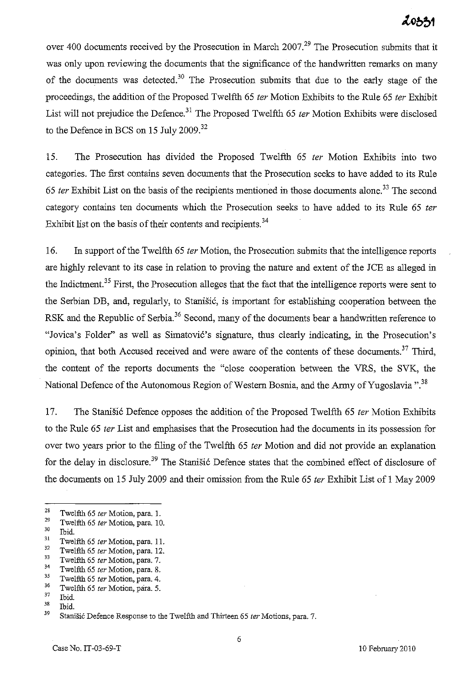# 20531

over 400 documents received by the Prosecution in March 2007.<sup>29</sup> The Prosecution submits that it was only upon reviewing the documents that the significance of the handwritten remarks on many of the documents was detected.<sup>30</sup> The Prosecution submits that due to the early stage of the proceedings, the addition of the Proposed Twelfth 65 *ter* Motion Exhibits to the Rule 65 *ter* Exhibit List will not prejudice the Defence.<sup>31</sup> The Proposed Twelfth 65 *ter* Motion Exhibits were disclosed to the Defence in BCS on 15 July 2009.<sup>32</sup>

15. The Prosecution has divided the Proposed Twelfth 65 *ter* Motion Exhibits into two categories. The first contains seven documents that the Prosecution seeks to have added to its Rule *65 ter* Exhibit List on the basis of the recipients mentioned in those documents alone. 33 The second category contains ten documents which the Prosecution seeks to have added to its Rule 65 *ter*  Exhibit list on the basis of their contents and recipients. <sup>34</sup>

16. In support of the Twelfth 65 *ter* Motion, the Prosecution submits that the intelligence reports are highly relevant to its case in relation to proving the nature and extent of the JCE as alleged in the Indictment.<sup>35</sup> First, the Prosecution alleges that the fact that the intelligence reports were sent to the Serbian DB, and, regularly, to Stanisic, is important for establishing cooperation between the RSK and the Republic of Serbia.<sup>36</sup> Second, many of the documents bear a handwritten reference to "Jovica's Folder" as well as Simatovic's signature, thus clearly indicating, in the Prosecution's opinion, that both Accused received and were aware of the contents of these documents.<sup>37</sup> Third, the content of the reports documents the "close cooperation between the VRS, the SVK, the National Defence of the Autonomous Region of Western Bosnia, and the Army of Yugoslavia ".<sup>38</sup>

17. The Stanisic Defence opposes the addition of the Proposed Twelfth 65 *ter* Motion Exhibits to the Rule 65 *ter* List and emphasises that the Prosecution had the documents in its possession for over two years prior to the filing of the Twelfth 65 *ter* Motion and did not provide an explanation for the delay in disclosure.<sup>39</sup> The Stanišić Defence states that the combined effect of disclosure of the documents on 15 July 2009 and their omission from the Rule 65 *ter* Exhibit List of 1 May 2009

<sup>&</sup>lt;sup>28</sup> Twelfth 65 *ter* Motion, para. 1.<br><sup>29</sup> Twelfth 65 ter Mation, para. 10

<sup>&</sup>lt;sup>29</sup> Twelfth 65 *ter* Motion, para. 10.<br><sup>30</sup> Thid

 $\begin{array}{cc} 30 & \text{Ibid.} \\ 31 & \text{Ture.} \end{array}$ 

<sup>&</sup>lt;sup>31</sup> Twelfth 65 ter Motion, para. 11.<br><sup>32</sup> Twelfth 65 ter Motion, para. 12.

 $32 \tTwelfth 65 \text{ ter Motion, para. } 12.$ <br> $33 \tTwelfth 65 \text{ tur Motion, para. } 7.$ 

 $33$  Twelfth 65 *ter* Motion, para. 7.

<sup>&</sup>lt;sup>34</sup> Twelfth 65 *ter* Motion, para. 8.<br><sup>35</sup> Twelfth 65 ter Motion, para. 4.

 $35$  Twelfth 65 *ter* Motion, para. 4.

<sup>&</sup>lt;sup>36</sup> Twelfth 65 *ter* Motion, para. 5.<br> $\frac{37}{2}$  Thid

 $rac{37}{38}$  Ibid.

**<sup>38</sup> Ibid.** 

Stanišić Defence Response to the Twelfth and Thirteen 65 ter Motions, para. 7.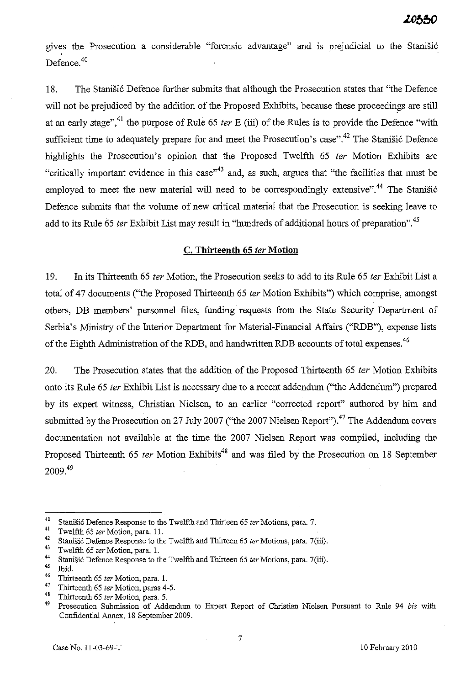gives the Prosecution a considerable "forensic advantage" and is prejudicial to the Stanišić Defence.<sup>40</sup>

18. The Stanišić Defence further submits that although the Prosecution states that "the Defence" will not be prejudiced by the addition of the Proposed Exhibits, because these proceedings are still at an early stage",<sup>41</sup> the purpose of Rule 65 *ter* E (iii) of the Rules is to provide the Defence "with sufficient time to adequately prepare for and meet the Prosecution's case".<sup>42</sup> The Stanišić Defence highlights the Prosecution's opinion that the Proposed Twelfth 65 *ter* Motion Exhibits are "critically important evidence in this case"<sup>43</sup> and, as such, argues that "the facilities that must be employed to meet the new material will need to be correspondingly extensive".<sup>44</sup> The Stanistic Defence submits that the volume of new critical material that the Prosecution is seeking leave to add to its Rule 65 *ter* Exhibit List may result in "hundreds of additional hours of preparation".<sup>45</sup>

#### **C. Thirteenth 65** fer **Motion**

19. In its Thirteenth 65 ter Motion, the Prosecution seeks to add to its Rule 65 ter Exhibit List a total of 47 documents ("the Proposed Thirteenth 65 *ter* Motion Exhibits") which comprise, amongst others, DB members' personnel files, funding requests from the State Security Department of Serbia's Ministry of the Interior Department for Material-Financial Affairs ("RDB"), expense lists of the Eighth Administration of the RDB, and handwritten RDB accounts of total expenses.<sup>46</sup>

20. The Prosecution states that the addition of the Proposed Thirteenth 65 *ter* Motion Exhibits onto its Rule 65 *ter* Exhibit List is necessary due to a recent addendum ("the Addendum") prepared by its expert witness, Christian Nielsen, to an earlier "corrected report" authored by him and submitted by the Prosecution on 27 July 2007 ("the 2007 Nielsen Report").<sup>47</sup> The Addendum covers documentation not available at the time the 2007 Nielsen Report was compiled, including the Proposed Thirteenth 65 *ter* Motion Exhibits<sup>48</sup> and was filed by the Prosecution on 18 September  $2009<sup>49</sup>$ 

<sup>&</sup>lt;sup>40</sup> Stanišić Defence Response to the Twelfth and Thirteen 65 *ter* Motions, para. 7.<br><sup>41</sup> Twelfth 65 *ter* Motion para. 11

<sup>&</sup>lt;sup>41</sup> Twelfth 65 *ter* Motion, para. 11.<br><sup>42</sup> Stanišiá Defense Pernance to the

<sup>&</sup>lt;sup>42</sup> Stanišić Defence Response to the Twelfth and Thirteen 65 *ter* Motions, para. 7(iii).

<sup>43</sup> Twelfth 65 *ter* Motion, para. l.

<sup>&</sup>lt;sup>44</sup> Stanišić Defence Response to the Twelfth and Thirteen 65 *ter* Motions, para. 7(iii).<br><sup>45</sup> Thid

 $\frac{45}{46}$  Ibid.

<sup>46</sup> Thirteenth 65 *ter* Motion, para. l.

<sup>&</sup>lt;sup>47</sup> Thirteenth 65 *ter* Motion, paras 4-5.

<sup>48</sup> Thirteenth 65 *ter* Motion, para. 5.

<sup>49</sup> Prosecution Submission of Addendum to Expert Report of Christian Nielsen Pursuant to Rule 94 *bis* with Confidential Annex, 18 September 2009.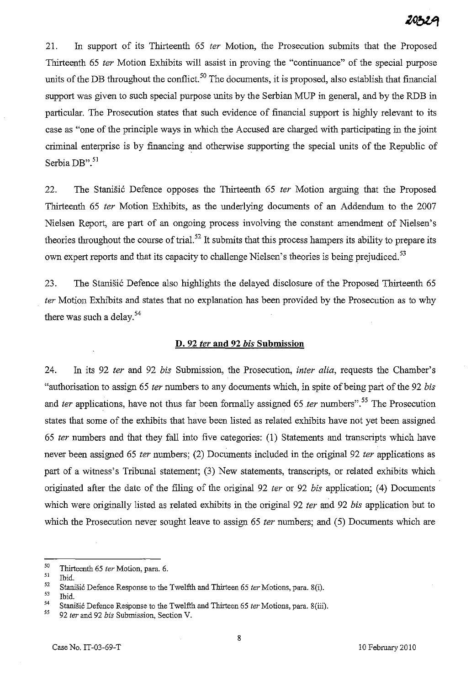# 20321

21. In support of its Thirteenth 65 ter Motion, the Prosecution submits that the Proposed Thirteenth 65 fer Motion Exhibits will assist in proving the "continuance" of the special purpose units of the DB throughout the conflict.<sup>50</sup> The documents, it is proposed, also establish that financial support was given to such special purpose units by the Serbian MUP in general, and by the RDB in particular. The Prosecution states that such evidence of financial support is highly relevant to its case as "one of the principle ways in which the Accused are charged with participating in the joint criminal enterprise is by financing and otherwise supporting the special units of the Republic of Serbia DB".<sup>51</sup>

22. The Stanisic Defence opposes the Thirteenth 65 *ter* Motion arguing that the Proposed Thirteenth 65 ter Motion Exhibits, as the underlying documents of an Addendum to the 2007 Nielsen Report, are part of an ongoing process involving the constant amendment of Nielsen's theories throughout the course of trial.<sup>52</sup> It submits that this process hampers its ability to prepare its own expert reports and that its capacity to challenge Nielsen's theories is being prejudiced.<sup>53</sup>

23. The Stanisic Defence also highlights the delayed disclosure of the Proposed Thirteenth 65 fer Motion Exhibits and states that no explanation has been provided by the Prosecution as to why there was such a delay.<sup>54</sup>

#### **D. 92** fer **and 92** *his* **Submission**

24. In its 92 ter and 92 bis Submission, the Prosecution, *inter alia*, requests the Chamber's "authorisation to assign 65 ter numbers to any documents which, in spite of being part of the 92 bis and ter applications, have not thus far been formally assigned 65 ter numbers".<sup>55</sup> The Prosecution states that some of the exhibits that have been listed as related exhibits have not yet been assigned 65 ter numbers and that they fall into five categories: (1) Statements and transcripts which have never been assigned 65 *ter* numbers; (2) Documents included in the original 92 *ter* applications as part of a witness's Tribunal statement; (3) New statements, transcripts, or related exhibits which originated after the date of the filing of the original 92 ter or 92 bis application; (4) Documents which were originally listed as related exhibits in the original 92 ter and 92 bis application but to which the Prosecution never sought leave to assign 65 ter numbers; and (5) Documents which are

<sup>50</sup> Thirteenth 65 *ler* Motion, para. 6.

<sup>51</sup>  Ibid.

<sup>52</sup>  Stanisic Defence Response to the Twelfth and Thirteen 65 *ler* Motions, para. 8(i).

<sup>53</sup>  Ibid.

<sup>54</sup>  Stanišić Defence Response to the Twelfth and Thirteen 65 ter Motions, para. 8(iii).

<sup>55</sup> *92 ler* and 92 *bis* Submission, Section V.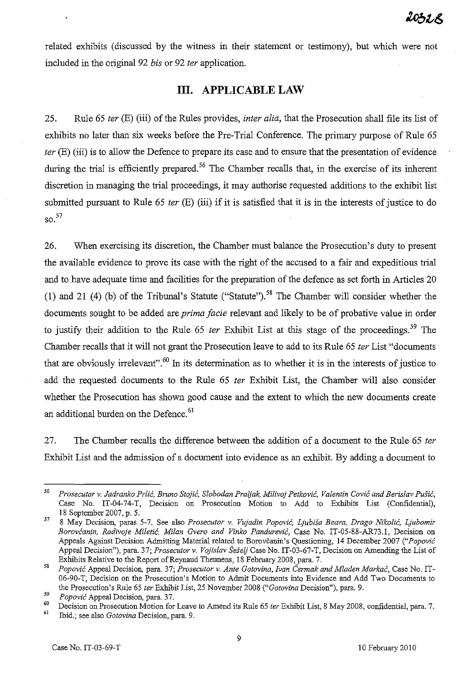related exhibits (discussed by the witness in their statement or testimony), but which were not included in the original 92 *bis* or 92 *ter* application.

# **Ill. APPLICABLE LAW**

25. Rule 65 *ter* (E) (iii) of the Rules provides, *inter alia,* that the Prosecution shall file its list of exhibits no later than six weeks before the Pre-Trial Conference. The primary purpose of Rule 65 *ter* (E) (iii) is to allow the Defence to prepare its case and to ensure that the presentation of evidence during the trial is efficiently prepared.<sup>56</sup> The Chamber recalls that, in the exercise of its inherent discretion in managing the trial proceedings, it may authorise requested additions to the exhibit list submitted pursuant to Rule 65 *ter* (E) (iii) if it is satisfied that it is in the interests of justice to do  $\mathrm{SO}$ <sup>57</sup>

26. When exercising its discretion, the Chamber must balance the Prosecution's duty to present the available evidence to prove its case with the right of the accused to a fair and expeditious trial and to have adequate time and facilities for the preparation of the defence as set forth in Articles 20 (1) and 21 (4) (b) of the Tribunal's Statute ("Statute").<sup>58</sup> The Chamber will consider whether the documents sought to be added are *prima facie* relevant and likely to be of probative value in order to justify their addition to the Rule 65 *ter* Exhibit List at this stage of the proceedings. 59 The Chamber recalls that it will not grant the Prosecution leave to add to its Rule 65 *ter* List "documents that are obviously irrelevant".<sup>60</sup> In its determination as to whether it is in the interests of justice to add the requested documents to the Rule 65 *ter* Exhibit List, the Chamber will also consider whether the Prosecution has shown good cause and the extent to which the new documents create an additional burden on the Defence.<sup>61</sup>

27. The Chamber recalls the difference between the addition of a document to the Rule 65 *ter*  Exhibit List and the admission of a document into evidence as an exhibit. By adding a document to

*<sup>56</sup> Prosecutor v. Jadranko Prlic, Bruno Stojic, Slobodan Praijak, Milivoj Petkovic, Valentin Covic and Berislav PUBic,*  Case No. IT-04-74-T, Decision on Prosecution Motion to Add to Exhibits List (Confidential), 18 September 2007, p. 5.

<sup>57 8</sup> May Decision, paras 5-7. See also *Prosecutor v. Vujadin Popovic, Ljubisa Beam, Drago Nikolic, Ljubomir Borovcanin, Radivoje Miletic, Milan Gvero and Vinko Pandurevic,* Case No. IT-05-88-AR73.1, Decision on Appeals Against Decision Admitting Material related to Borovcaoin's Questioning, 14 December 2007 *("Popovic*  Appeal Decision"), para. 37; *Prosecutor* v. *Vojislav Seseij* Case No. IT-03-67-T, Decision on Amending the List of Exhibits Relative to the Report of Reynaud Theunens, 18 February 2008, para. 7.

*<sup>58</sup> Popovic* Appeal Decision, para. 37; *Prosecutor* v. *Ante Gotovina, Ivan Cermak and Mladen MOl'kac,* Case No. IT-06-90-T, Decision on the Prosecution's Motion to Admit Documents into Evidence and Add Two Documents to the Prosecution's Rule 65 *ter* Exhibit List, 25 November 2008 *("Gotovina* Decision"), para. 9.

*<sup>59</sup> Popovic* Appeal Decision, para. 37.

<sup>60</sup> Decision on Prosecution Motion for Leave to Amend its Rule 65 *ter* Exhibit List, 8 May 2008, confidential, para. 7.

**<sup>61</sup>Ibid.; see also** *Gotovina* **Decision, para. 9.**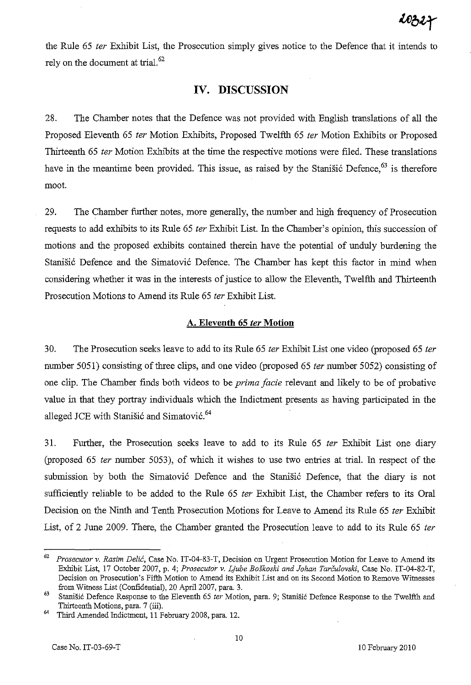the Rule 65 fer Exhibit List, the Prosecution simply gives notice to the Defence that it intends to rely on the document at trial. $62$ 

# **IV. DISCUSSION**

28. The Chamber notes that the Defence was not provided with English translations of all the Proposed Eleventh 65 ter Motion Exhibits, Proposed Twelfth 65 ter Motion Exhibits or Proposed Thirteenth 65 *ter* Motion Exhibits at the time the respective motions were filed. These translations have in the meantime been provided. This issue, as raised by the Stanisic Defence,  $63$  is therefore moot.

29. The Chamber further notes, more generally, the number and high frequency of Prosecution requests to add exhibits to its Rule 65 fer Exhibit List. In the Chamber's opinion, this succession of motions and the proposed exhibits contained therein have the potential of unduly burdening the Stanišić Defence and the Simatović Defence. The Chamber has kept this factor in mind when considering whether it was in the interests of justice to allow the Eleventh, Twelfth and Thirteenth Prosecution Motions to Amend its Rule 65 fer Exhibit List.

## **A. Eleventh 65** fer **Motion**

30. The Prosecution seeks leave to add to its Rule 65 *ter* Exhibit List one video (proposed 65 *ter* number 5051) consisting of three clips, and one video (proposed 65 ter number 5052) consisting of one clip. The Chamber fmds both videos to be *prima facie* relevant and likely to be of probative value in that they portray individuals which the Indictment presents as having participated in the alleged JCE with Stanišić and Simatović.<sup>64</sup>

31. Further, the Prosecution seeks leave to add to its Rule 65 fer Exhibit List one diary (proposed 65 fer number 5053), of which it wishes to use two entries at trial. In respect of the submission by both the Simatović Defence and the Stanišić Defence, that the diary is not sufficiently reliable to be added to the Rule 65 ter Exhibit List, the Chamber refers to its Oral Decision on the Ninth and Tenth Prosecution Motions for Leave to Amend its Rule 65 *ter* Exhibit List, of 2 June 2009. There, the Chamber granted the Prosecution leave to add to its Rule 65 *ter* 

*<sup>62</sup> Prosecutor* v. *Rasim Delic,* Case No. IT-04-83-T, Decision on Urgent Prosecution Motion for Leave to Amend its Exhibit List, 17 October 2007, p. 4; *Prosecutor v. Ljube Boškoski and Johan Tarčulovski*, Case No. IT-04-82-T, Decision on Prosecution's Fifth Motion to Amend its Exhibit List and on its Second Motion to Remove Witnesses from Witness List (Confidential), 20 April 2007, para. 3.

<sup>&</sup>lt;sup>63</sup> Stanišić Defence Response to the Eleventh 65 *ter* Motion, para. 9; Stanišić Defence Response to the Twelfth and Thirteenth Motions, para. 7 (iii).

<sup>&</sup>lt;sup>64</sup> Third Amended Indictment, 11 February 2008, para. 12.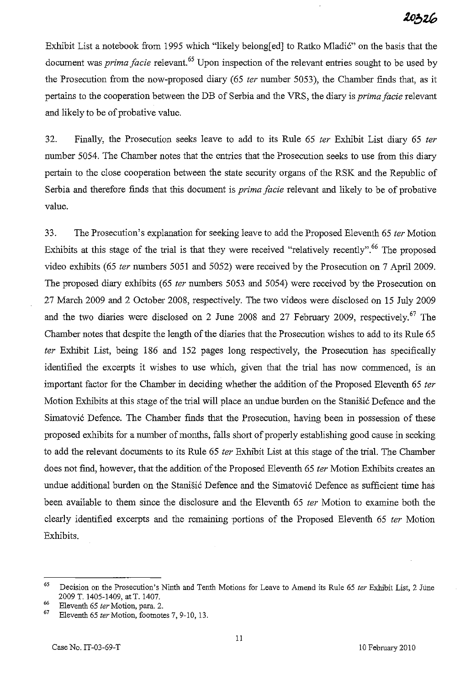Exhibit List a notebook from 1995 which "likely belong[ed] to Ratko Mladić" on the basis that the document was *prima facie* relevant. 65 Upon inspection of the relevant entries sought to be used by the Prosecution from the now-proposed diary (65 *ter* number 5053), the Chamber finds that, as it pertains to the cooperation between the DB of Serbia and the VRS, the diary is *prima facie* relevant and likely to be of probative value.

32. Finally, the Prosecution seeks leave to add to its Rule 65 *ter* Exhibit List diary 65 *ter*  number 5054. The Chamber notes that the entries that the Prosecution seeks to use from this diary pertain to the close cooperation between the state security organs of the RSK and the Republic of Serbia and therefore finds that this document is *prima facie* relevant and likely to be of probative value.

33. The Prosecution's explanation for seeking leave to add the Proposed Eleventh 65 *ter* Motion Exhibits at this stage of the trial is that they were received "relatively recently".<sup>66</sup> The proposed video exhibits (65 *ter* numbers 5051 and 5052) were received by the Prosecution on 7 April 2009. The proposed diary exhibits (65 *ter* numbers 5053 and 5054) were received by the Prosecution on 27 March 2009 and 2 October 2008, respectively. The two videos were disclosed on 15 July 2009 and the two diaries were disclosed on 2 June 2008 and 27 February 2009, respectively.<sup>67</sup> The Chamber notes that despite the length of the diaries that the Prosecution wishes to add to its Rule 65 *ter* Exhibit List, being 186 and 152 pages long respectively, the Prosecution has specifically identified the excerpts it wishes to use which, given that the trial has now commenced, is an important factor for the Chamber in deciding whether the addition of the Proposed Eleventh 65 *ter*  Motion Exhibits at this stage of the trial will place an undue burden on the Stanisic Defence and the Simatović Defence. The Chamber finds that the Prosecution, having been in possession of these proposed exhibits for a number of months, falls short of properly establishing good cause in seeking to add the relevant documents to its Rule 65 *ter* Exhibit List at this stage of the triaL The Chamber does not find, however, that the addition of the Proposed Eleventh 65 *ter* Motion Exhibits creates an undue additional burden on the Stanišić Defence and the Simatović Defence as sufficient time has been available to them since the disclosure and the Eleventh 65 *ter* Motion to examine both the clearly identified excerpts and the remaining portions of the Proposed Eleventh 65 *ter* Motion Exhibits.

<sup>65</sup> Decision on the Prosecution's Ninth and Tenth Motions for Leave to Amend its Rule 65 *ler* Exhibit List, 2 June 2009 T. 1405-1409, at T. 1407.

<sup>66</sup> Eleventh 65 *ler* Motion, para. 2.

Eleventh 65 *ter* Motion, footnotes 7, 9-10, 13.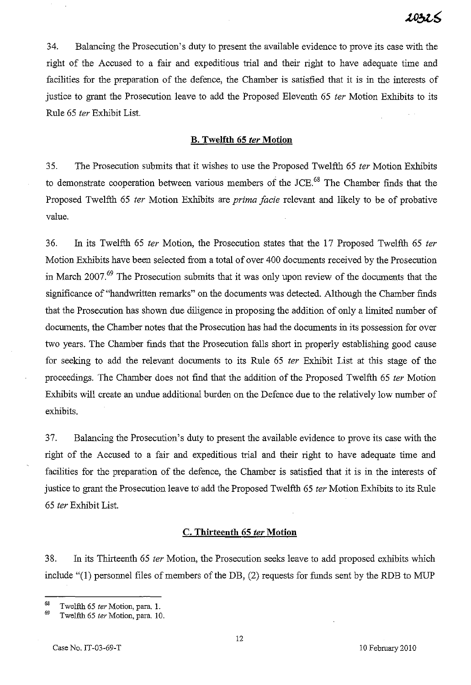34. Balancing the Prosecution's duty to present the available evidence to prove its case with the right of the Accused to a fair and expeditious trial and their right to have adequate time and facilities for the preparation of the defence, the Chamber is satisfied that it is in the interests of justice to grant the Prosecution leave to add the Proposed Eleventh 65 *ter* Motion Exhibits to its Rule 65 fer Exhibit List.

#### B. **Twelfth 65** fer **Motion**

35. The Prosecution submits that it wishes to use the Proposed Twelfth 65 fer Motion Exhibits to demonstrate cooperation between various members of the JCE.<sup>68</sup> The Chamber finds that the Proposed Twelfth 65 ter Motion Exhibits are *prima facie* relevant and likely to be of probative value.

36. In its Twelfth 65 fer Motion, the Prosecution states that the 17 Proposed Twelfth 65 fer Motion Exhibits have been selected from a total of over 400 documents received by the Prosecution in March 2007.69 The Prosecution submits that it was only upon review of the documents that the significance of "handwritten remarks" on the documents was detected. Although the Chamber fmds that the Prosecution has shown due diligence in proposing the addition of only a limited number of documents, the Chamber notes that the Prosecution has had the documents in its possession for over two years. The Chamber fmds that the Prosecution falls short in properly establishing good cause for seeking to add the relevant documents to its Rule 65 *ter* Exhibit List at this stage of the proceedings. The Chamber does not find that the addition of the Proposed Twelfth 65 ter Motion Exhibits will create an undue additional burden on the Defence due to the relatively low number of exhibits.

37. Balancing the Prosecution's duty to present the available evidence to prove its case with the right of the Accused to a fair and expeditious trial and their right to have adequate time and facilities for the preparation of the defence, the Chamber is satisfied that it is in the interests of justice to grant the Prosecution leave to add the Proposed Twelfth 65 *ter* Motion Exhibits to its Rule *65* fer Exhibit List.

### **C. Thirteenth 65** fer **Motion**

38. In its Thirteenth 65 fer Motion, the Prosecution seeks leave to add proposed exhibits which include "(l) personnel files of members of the DB, (2) requests for funds sent by the RDB to MUP

<sup>68</sup> Twelfth 65 *ler* Motion, para. 1.

Twelfth 65 ter Motion, para. 10.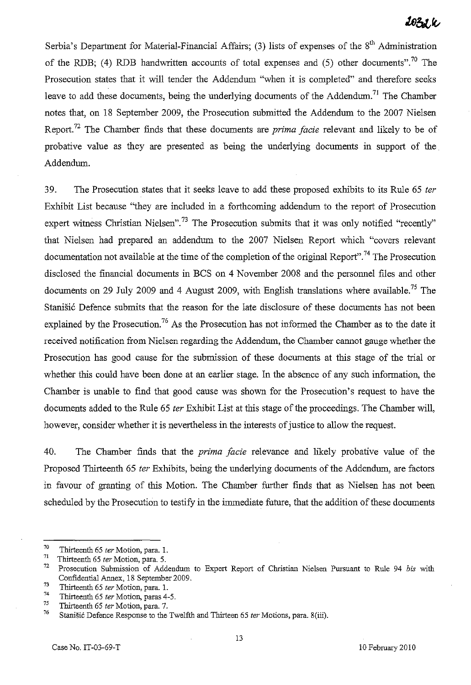# 1031.K

Serbia's Department for Material-Financial Affairs; (3) lists of expenses of the 8<sup>th</sup> Administration of the RDB; (4) RDB handwritten accounts of total expenses and (5) other documents".<sup>70</sup> The Prosecution states that it will tender the Addendum "when it is completed" and therefore seeks leave to add these documents, being the underlying documents of the Addendum.<sup>71</sup> The Chamber notes that, on 18 September 2009, the Prosecution submitted the Addendum to the 2007 Nielsen Report. 72 The Chamber finds that these documents are *prima facie* relevant and likely to be of probative value as they are presented as being the underlying documents in support of the Addendum.

39. The Prosecution states that it seeks leave to add these proposed exhibits to its Rule 65 *ter*  Exhibit List because "they are included in a forthcoming addendum to the report of Prosecution expert witness Christian Nielsen".<sup>73</sup> The Prosecution submits that it was only notified "recently" that Nielsen had prepared an addendum to the 2007 Nielsen Report which "covers relevant documentation not available at the time of the completion of the original Report".<sup>74</sup> The Prosecution disclosed the financial documents in BCS on 4 November 2008 and the personnel files and other documents on 29 July 2009 and 4 August 2009, with English translations where available.<sup>75</sup> The Stanišić Defence submits that the reason for the late disclosure of these documents has not been explained by the Prosecution.<sup>76</sup> As the Prosecution has not informed the Chamber as to the date it received notification from Nielsen regarding the Addendum, the Chamber cannot gauge whether the Prosecution has good cause for the submission of these documents at this stage of the trial or whether this could have been done at an earlier stage. In the absence of any such information, the Chamber is unable to find that good cause was shown for the Prosecution's request to have the documents added to the Rule 65 *ter* Exhibit List at this stage of the proceedings. The Chamber will, however, consider whether it is nevertheless in the interests of justice to allow the request.

40. The Chamber finds that the *prima facie* relevance and likely probative value of the Proposed Thirteenth 65 *ter* Exhibits, being the underlying documents of the Addendum, are factors in favour of granting of this Motion. The Chamber further finds that as Nielsen has not been scheduled by the Prosecution to testify in the immediate future, that the addition of these documents

<sup>&</sup>lt;sup>70</sup> Thirteenth 65 *ter* Motion, para. 1.<br><sup>71</sup> Thirteenth 65 ter Motion, para. 5

Thirteenth 65 *ter* Motion, para. 5.<br> $\frac{72}{7}$  Prosecution, Submission of Add

<sup>72</sup> Prosecution Submission of Addendum to Expert Report of Christian Nielsen Pursuant to Rule 94 *bis* with Confidential Annex, 18 September 2009.

 $^{73}$  Thirteenth 65 *ter* Motion, para. 1.<br> $^{74}$  Thirteenth 65 ter Motion, para. 4.

<sup>&</sup>lt;sup>74</sup> Thirteenth 65 *ter* Motion, paras 4-5.<br> $75$  Thirts and 65 ten Mation name 7.

 $^{75}$  Thirteenth 65 *ter* Motion, para. 7.<br> $^{76}$  Stani Xi Defense Research to the 1

Stanišić Defence Response to the Twelfth and Thirteen 65 ter Motions, para. 8(iii).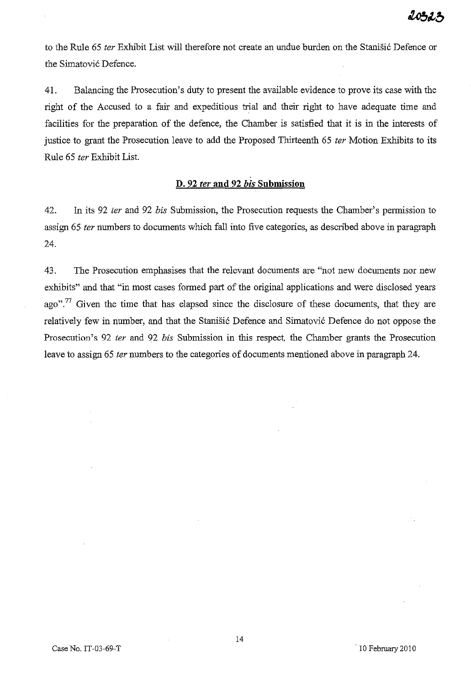to the Rule 65 ter Exhibit List will therefore not create an undue burden on the Stanišić Defence or the Simatović Defence.

41. Balancing the Prosecution's duty to present the available evidence to prove its case with the right of the Accused to a fair and expeditious trial and their right to have adequate time and facilities for the preparation of the defence, the Chamber is satisfied that it is in the interests of justice to grant the Prosecution leave to add the Proposed Thirteenth 65 *ter* Motion Exhibits to its Rule 65 fer Exhibit List.

# **D. 92** fer **and 92** *his* **Submission**

42. In its 92 ter and 92 bis Submission, the Prosecution requests the Chamber's permission to assign 65 fer numbers to documents which fall into five categories, as described above in paragraph 24.

43. The Prosecution emphasises that the relevant documents are "not new documents nor new exhibits" and that "in most cases formed part of the original applications and were disclosed years ago".<sup>77</sup> Given the time that has elapsed since the disclosure of these documents, that they are relatively few in number, and that the Stanišić Defence and Simatović Defence do not oppose the Prosecution's 92 *ter* and 92 *bis* Submission in this respect, the Chamber grants the Prosecution leave to assign 65 ter numbers to the categories of documents mentioned above in paragraph 24.